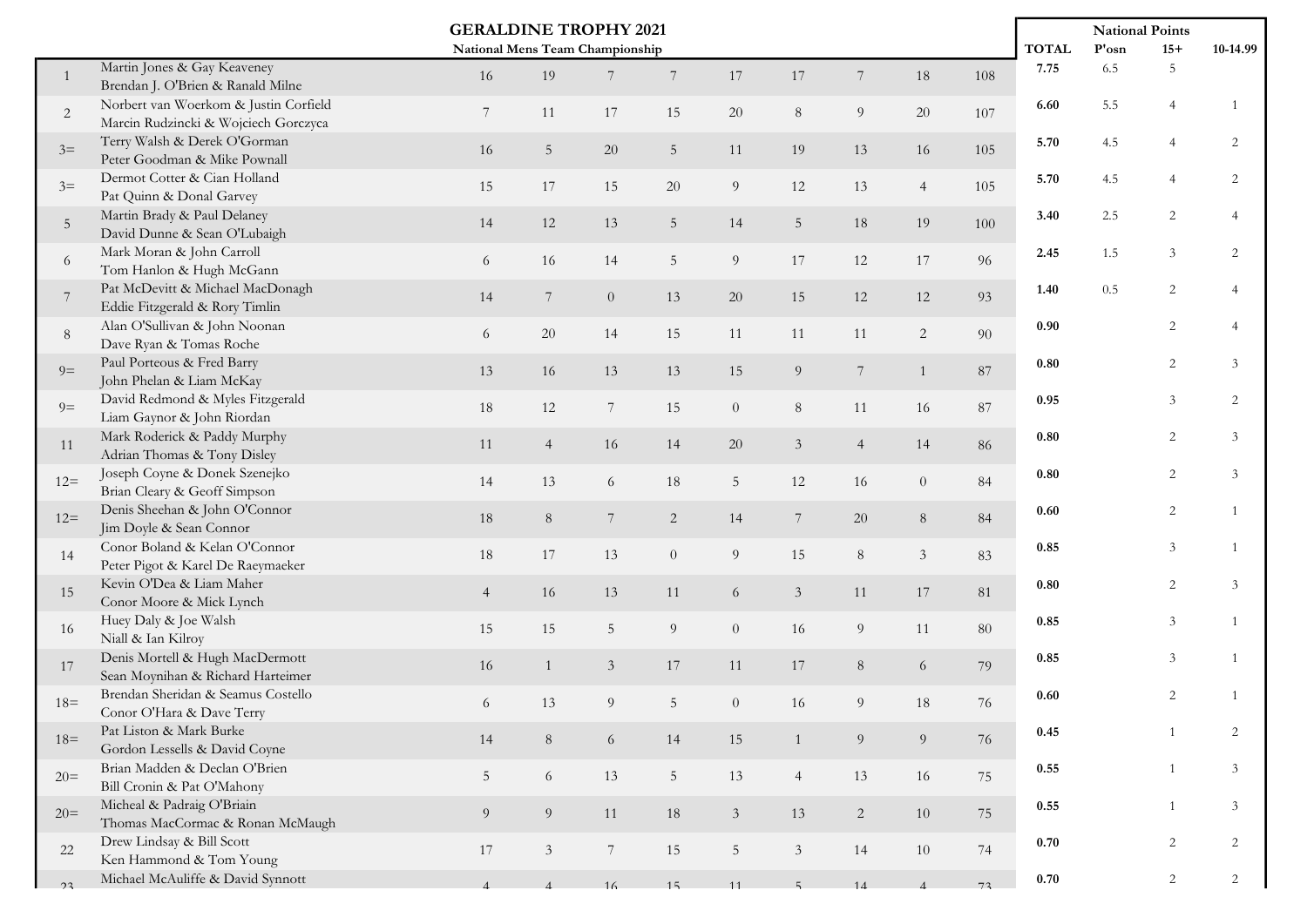| <b>GERALDINE TROPHY 2021</b>    |                                                                               |                 |                |                 |                  |                  |                 |                  |                |          |              | <b>National Points</b> |                |                |
|---------------------------------|-------------------------------------------------------------------------------|-----------------|----------------|-----------------|------------------|------------------|-----------------|------------------|----------------|----------|--------------|------------------------|----------------|----------------|
| National Mens Team Championship |                                                                               |                 |                |                 |                  |                  |                 |                  |                |          | <b>TOTAL</b> | $\mathbf{P'osn}$       | $15+$          | 10-14.99       |
| $\mathbf{1}$                    | Martin Jones & Gay Keaveney<br>Brendan J. O'Brien & Ranald Milne              | 16              | 19             |                 | $\overline{7}$   | 17               | $17\,$          | $\overline{7}$   | 18             | 108      | 7.75         | 6.5                    | 5              |                |
| $\overline{2}$                  | Norbert van Woerkom & Justin Corfield<br>Marcin Rudzincki & Wojciech Gorczyca | 7               | 11             | 17              | 15               | 20               | $\, 8$          | $\boldsymbol{9}$ | 20             | 107      | 6.60         | 5.5                    |                |                |
| $3=$                            | Terry Walsh & Derek O'Gorman<br>Peter Goodman & Mike Pownall                  | 16              | $\overline{5}$ | 20              | $\sqrt{5}$       | 11               | 19              | $13\,$           | 16             | 105      | 5.70         | 4.5                    |                | 2              |
| $3=$                            | Dermot Cotter & Cian Holland<br>Pat Quinn & Donal Garvey                      | 15              | 17             | 15              | $20\,$           | $9\phantom{.0}$  | 12              | 13               | $\overline{4}$ | 105      | 5.70         | 4.5                    | $\overline{4}$ | 2              |
| $\overline{5}$                  | Martin Brady & Paul Delaney<br>David Dunne & Sean O'Lubaigh                   | 14              | 12             | 13              | $\sqrt{5}$       | 14               | $5\phantom{.0}$ | 18               | 19             | 100      | 3.40         | 2.5                    | 2              |                |
| 6                               | Mark Moran & John Carroll<br>Tom Hanlon & Hugh McGann                         | 6               | 16             | 14              | $\sqrt{5}$       | 9                | 17              | 12               | 17             | 96       | 2.45         | 1.5                    | 3              | $\overline{2}$ |
| $7\phantom{.0}$                 | Pat McDevitt & Michael MacDonagh<br>Eddie Fitzgerald & Rory Timlin            | 14              | $7\phantom{.}$ | $\overline{0}$  | 13               | $20\,$           | 15              | 12               | 12             | 93       | 1.40         | 0.5                    | $\overline{2}$ |                |
| $\, 8$                          | Alan O'Sullivan & John Noonan<br>Dave Ryan & Tomas Roche                      | 6               | 20             | 14              | 15               | 11               | 11              | 11               | $\overline{c}$ | 90       | 0.90         |                        | 2              |                |
| $9=$                            | Paul Porteous & Fred Barry<br>John Phelan & Liam McKay                        | 13              | 16             | 13              | 13               | 15               | 9 <sup>°</sup>  | $7\overline{ }$  | $\mathbf{1}$   | 87       | $0.80\,$     |                        | 2              | 3              |
| $9=$                            | David Redmond & Myles Fitzgerald<br>Liam Gaynor & John Riordan                | 18              | 12             | $7\phantom{.0}$ | 15               | $\overline{0}$   | $8\,$           | 11               | 16             | 87       | 0.95         |                        | 3              | 2              |
| 11                              | Mark Roderick & Paddy Murphy<br>Adrian Thomas & Tony Disley                   | 11              | $\overline{4}$ | 16              | 14               | 20               | $\mathfrak{Z}$  | $\overline{4}$   | 14             | 86       | $0.80\,$     |                        | 2              | 3              |
| $12=$                           | Joseph Coyne & Donek Szenejko<br>Brian Cleary & Geoff Simpson                 | 14              | 13             | 6               | 18               | $5\phantom{.0}$  | 12              | 16               | $\overline{0}$ | 84       | $0.80\,$     |                        | 2              | 3              |
| $12 =$                          | Denis Sheehan & John O'Connor<br>Jim Doyle & Sean Connor                      | 18              | 8              | 7               | $\sqrt{2}$       | 14               | $\,7$           | $20\,$           | 8              | $\bf 84$ | 0.60         |                        | 2              |                |
| 14                              | Conor Boland & Kelan O'Connor<br>Peter Pigot & Karel De Raeymaeker            | 18              | 17             | 13              | $\boldsymbol{0}$ | $\overline{9}$   | 15              | $\,8\,$          | $\mathfrak{Z}$ | 83       | 0.85         |                        | 3              |                |
| 15                              | Kevin O'Dea & Liam Maher<br>Conor Moore & Mick Lynch                          | $\overline{4}$  | 16             | 13              | 11               | 6                | $\mathfrak{Z}$  | 11               | 17             | 81       | $0.80\,$     |                        | 2              | 3              |
| 16                              | Huey Daly & Joe Walsh<br>Niall & Ian Kilroy                                   | 15              | 15             | 5               | $\boldsymbol{9}$ | $\boldsymbol{0}$ | 16              | $\overline{9}$   | 11             | 80       | 0.85         |                        | 3              |                |
| 17                              | Denis Mortell & Hugh MacDermott<br>Sean Moynihan & Richard Harteimer          | 16              | 1              | $\mathfrak{Z}$  | 17               | 11               | $17\,$          | $8\,$            | 6              | 79       | 0.85         |                        | 3              |                |
| $18=$                           | Brendan Sheridan & Seamus Costello<br>Conor O'Hara & Dave Terry               | 6               | 13             | 9               | 5                | $\overline{0}$   | 16              | 9                | $18\,$         | 76       | 0.60         |                        | 2              |                |
| $18=$                           | Pat Liston & Mark Burke<br>Gordon Lessells & David Coyne                      | 14              | 8              | 6               | 14               | 15               | $\mathbf{1}$    | 9                | 9              | 76       | $0.45\,$     |                        |                | 2              |
| $20=$                           | Brian Madden & Declan O'Brien<br>Bill Cronin & Pat O'Mahony                   | $5\overline{)}$ | 6              | 13              | $\overline{5}$   | 13               | $\overline{4}$  | 13               | 16             | 75       | $0.55\,$     |                        |                | 3              |
| $20=$                           | Micheal & Padraig O'Briain<br>Thomas MacCormac & Ronan McMaugh                | 9               | 9              | 11              | 18               | $\mathfrak{Z}$   | 13              | $\overline{c}$   | 10             | 75       | $0.55\,$     |                        |                | 3              |
| 22                              | Drew Lindsay & Bill Scott<br>Ken Hammond & Tom Young                          | 17              | $\mathfrak{Z}$ | $7\phantom{.}$  | 15               | $\overline{5}$   | $\mathfrak{Z}$  | $14\,$           | 10             | 74       | 0.70         |                        | $\overline{2}$ | 2              |
| 23                              | Michael McAuliffe & David Synnott                                             | $\Delta$        | $\Delta$       | 16              | 15               | 11               | $5 -$           | 14               | $\mathbf{A}$   | 73       | $0.70\,$     |                        | $\overline{2}$ | 2              |